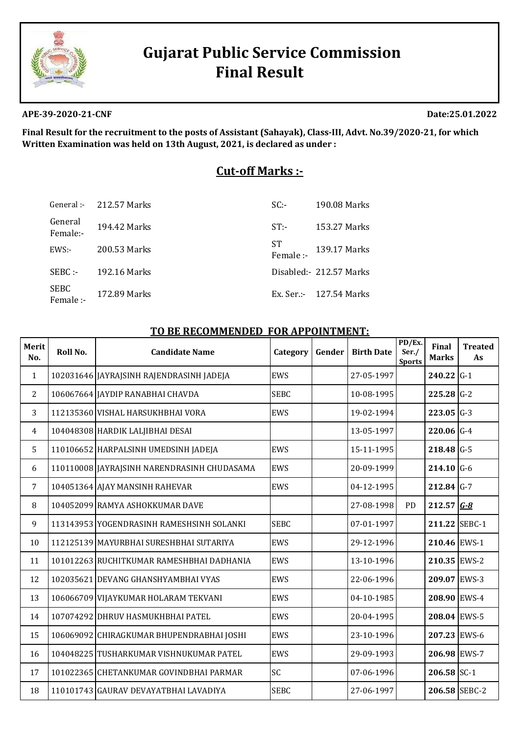

# **Gujarat Public Service Commission Final Result**

#### **APE-39-2020-21-CNF Date:25.01.2022**

**Final Result for the recruitment to the posts of Assistant (Sahayak), Class‐III, Advt. No.39/2020‐21, for which Written Examination was held on 13th August, 2021, is declared as under :**

# **Cut‐off Marks :‐**

|                     | General: $-212.57$ Marks | $SC -$          | 190.08 Marks              |
|---------------------|--------------------------|-----------------|---------------------------|
| General<br>Female:- | 194.42 Marks             | $ST$ :-         | 153.27 Marks              |
| $EWS$ :-            | 200.53 Marks             | ST<br>Female :- | 139.17 Marks              |
| $SEBC -$            | 192.16 Marks             |                 | Disabled: 212.57 Marks    |
| SEBC<br>Female :-   | 172.89 Marks             |                 | $Ex. Ser. - 127.54 Marks$ |

#### **TO BE RECOMMENDED FOR APPOINTMENT:**

| Merit<br>No.   | Roll No. | <b>Candidate Name</b>                       | Category    | Gender | <b>Birth Date</b> | PD/Ex.<br>Ser./<br><b>Sports</b> | Final<br><b>Marks</b> | <b>Treated</b><br>As |
|----------------|----------|---------------------------------------------|-------------|--------|-------------------|----------------------------------|-----------------------|----------------------|
| $\mathbf{1}$   |          | 102031646 JAYRAJSINH RAJENDRASINH JADEJA    | EWS         |        | 27-05-1997        |                                  | $240.22$ G-1          |                      |
| 2              |          | 106067664 JAYDIP RANABHAI CHAVDA            | <b>SEBC</b> |        | 10-08-1995        |                                  | $225.28$ G-2          |                      |
| 3              |          | 112135360 VISHAL HARSUKHBHAI VORA           | EWS         |        | 19-02-1994        |                                  | $223.05$ G-3          |                      |
| $\overline{4}$ |          | 104048308 HARDIK LALJIBHAI DESAI            |             |        | 13-05-1997        |                                  | $220.06$ G-4          |                      |
| 5              |          | 110106652 HARPALSINH UMEDSINH JADEJA        | EWS         |        | 15-11-1995        |                                  | $218.48$ G-5          |                      |
| 6              |          | 110110008 JAYRAJSINH NARENDRASINH CHUDASAMA | EWS         |        | 20-09-1999        |                                  | $214.10$ G-6          |                      |
| $\overline{7}$ |          | 104051364 AJAY MANSINH RAHEVAR              | <b>EWS</b>  |        | 04-12-1995        |                                  | $212.84$ G-7          |                      |
| 8              |          | 104052099 RAMYA ASHOKKUMAR DAVE             |             |        | 27-08-1998        | <b>PD</b>                        | $212.57$ $G-8$        |                      |
| 9              |          | 113143953 YOGENDRASINH RAMESHSINH SOLANKI   | <b>SEBC</b> |        | 07-01-1997        |                                  | 211.22 SEBC-1         |                      |
| 10             |          | 112125139 MAYURBHAI SURESHBHAI SUTARIYA     | EWS         |        | 29-12-1996        |                                  | 210.46 EWS-1          |                      |
| 11             |          | 101012263 RUCHITKUMAR RAMESHBHAI DADHANIA   | <b>EWS</b>  |        | 13-10-1996        |                                  | 210.35 EWS-2          |                      |
| 12             |          | 102035621 DEVANG GHANSHYAMBHAI VYAS         | EWS         |        | 22-06-1996        |                                  | 209.07 EWS-3          |                      |
| 13             |          | 106066709 VIJAYKUMAR HOLARAM TEKVANI        | EWS         |        | 04-10-1985        |                                  | 208.90 EWS-4          |                      |
| 14             |          | 107074292 DHRUV HASMUKHBHAI PATEL           | EWS         |        | 20-04-1995        |                                  | 208.04 EWS-5          |                      |
| 15             |          | 106069092 CHIRAGKUMAR BHUPENDRABHAI JOSHI   | EWS         |        | 23-10-1996        |                                  | 207.23 EWS-6          |                      |
| 16             |          | 104048225 TUSHARKUMAR VISHNUKUMAR PATEL     | EWS         |        | 29-09-1993        |                                  | 206.98 EWS-7          |                      |
| 17             |          | 101022365 CHETANKUMAR GOVINDBHAI PARMAR     | SC          |        | 07-06-1996        |                                  | $206.58$ SC-1         |                      |
| 18             |          | 110101743 GAURAV DEVAYATBHAI LAVADIYA       | <b>SEBC</b> |        | 27-06-1997        |                                  | 206.58 SEBC-2         |                      |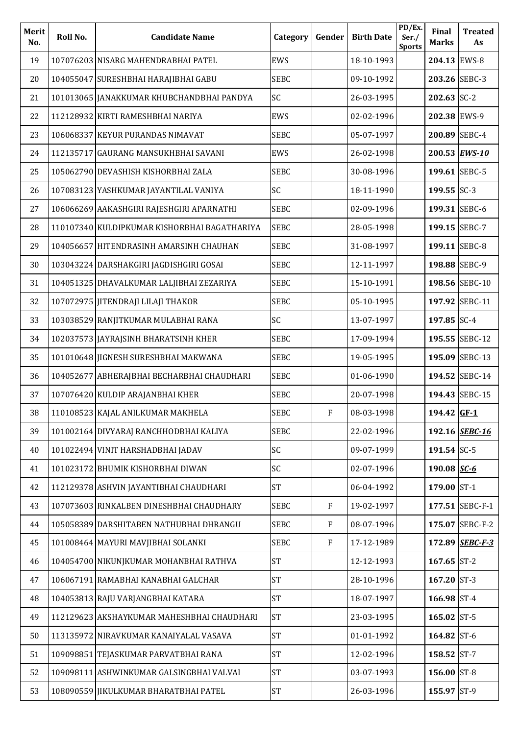| Merit<br>No. | Roll No. | <b>Candidate Name</b>                        | Category    | Gender                    | <b>Birth Date</b> | PD/Ex.<br>Ser./<br><b>Sports</b> | Final<br><b>Marks</b> | <b>Treated</b><br>As |
|--------------|----------|----------------------------------------------|-------------|---------------------------|-------------------|----------------------------------|-----------------------|----------------------|
| 19           |          | 107076203 NISARG MAHENDRABHAI PATEL          | <b>EWS</b>  |                           | 18-10-1993        |                                  | 204.13 EWS-8          |                      |
| 20           |          | 104055047 SURESHBHAI HARAJIBHAI GABU         | <b>SEBC</b> |                           | 09-10-1992        |                                  | 203.26 SEBC-3         |                      |
| 21           |          | 101013065 JANAKKUMAR KHUBCHANDBHAI PANDYA    | SC          |                           | 26-03-1995        |                                  | $202.63$ SC-2         |                      |
| 22           |          | 112128932 KIRTI RAMESHBHAI NARIYA            | EWS         |                           | 02-02-1996        |                                  | 202.38 EWS-9          |                      |
| 23           |          | 106068337 KEYUR PURANDAS NIMAVAT             | <b>SEBC</b> |                           | 05-07-1997        |                                  | 200.89 SEBC-4         |                      |
| 24           |          | 112135717 GAURANG MANSUKHBHAI SAVANI         | EWS         |                           | 26-02-1998        |                                  |                       | 200.53 EWS-10        |
| 25           |          | 105062790 DEVASHISH KISHORBHAI ZALA          | <b>SEBC</b> |                           | 30-08-1996        |                                  | 199.61 SEBC-5         |                      |
| 26           |          | 107083123 YASHKUMAR JAYANTILAL VANIYA        | SC          |                           | 18-11-1990        |                                  | 199.55 SC-3           |                      |
| 27           |          | 106066269 AAKASHGIRI RAJESHGIRI APARNATHI    | <b>SEBC</b> |                           | 02-09-1996        |                                  | 199.31 SEBC-6         |                      |
| 28           |          | 110107340 KULDIPKUMAR KISHORBHAI BAGATHARIYA | <b>SEBC</b> |                           | 28-05-1998        |                                  | 199.15 SEBC-7         |                      |
| 29           |          | 104056657 HITENDRASINH AMARSINH CHAUHAN      | <b>SEBC</b> |                           | 31-08-1997        |                                  | 199.11 SEBC-8         |                      |
| 30           |          | 103043224 DARSHAKGIRI JAGDISHGIRI GOSAI      | <b>SEBC</b> |                           | 12-11-1997        |                                  | 198.88 SEBC-9         |                      |
| 31           |          | 104051325 DHAVALKUMAR LALJIBHAI ZEZARIYA     | <b>SEBC</b> |                           | 15-10-1991        |                                  |                       | 198.56 SEBC-10       |
| 32           |          | 107072975 JITENDRAJI LILAJI THAKOR           | <b>SEBC</b> |                           | 05-10-1995        |                                  |                       | 197.92 SEBC-11       |
| 33           |          | 103038529 RANJITKUMAR MULABHAI RANA          | SC          |                           | 13-07-1997        |                                  | 197.85 SC-4           |                      |
| 34           |          | 102037573 JAYRAJSINH BHARATSINH KHER         | <b>SEBC</b> |                           | 17-09-1994        |                                  |                       | 195.55 SEBC-12       |
| 35           |          | 101010648 JIGNESH SURESHBHAI MAKWANA         | <b>SEBC</b> |                           | 19-05-1995        |                                  |                       | 195.09 SEBC-13       |
| 36           |          | 104052677 ABHERAJBHAI BECHARBHAI CHAUDHARI   | <b>SEBC</b> |                           | 01-06-1990        |                                  |                       | 194.52 SEBC-14       |
| 37           |          | 107076420 KULDIP ARAJANBHAI KHER             | <b>SEBC</b> |                           | 20-07-1998        |                                  |                       | 194.43 SEBC-15       |
| 38           |          | 110108523 KAJAL ANILKUMAR MAKHELA            | <b>SEBC</b> | F                         | 08-03-1998        |                                  | 194.42 GF-1           |                      |
| 39           |          | 101002164 DIVYARAJ RANCHHODBHAI KALIYA       | <b>SEBC</b> |                           | 22-02-1996        |                                  |                       | 192.16 SEBC-16       |
| 40           |          | 101022494 VINIT HARSHADBHAI JADAV            | SC          |                           | 09-07-1999        |                                  | 191.54 SC-5           |                      |
| 41           |          | 101023172 BHUMIK KISHORBHAI DIWAN            | SC          |                           | 02-07-1996        |                                  | 190.08 $SC - 6$       |                      |
| 42           |          | 112129378 ASHVIN JAYANTIBHAI CHAUDHARI       | <b>ST</b>   |                           | 06-04-1992        |                                  | 179.00 ST-1           |                      |
| 43           |          | 107073603 RINKALBEN DINESHBHAI CHAUDHARY     | <b>SEBC</b> | ${\bf F}$                 | 19-02-1997        |                                  |                       | 177.51 SEBC-F-1      |
| 44           |          | 105058389 DARSHITABEN NATHUBHAI DHRANGU      | <b>SEBC</b> | $\boldsymbol{\mathrm{F}}$ | 08-07-1996        |                                  |                       | 175.07 SEBC-F-2      |
| 45           |          | 101008464 MAYURI MAVJIBHAI SOLANKI           | <b>SEBC</b> | $\boldsymbol{\mathrm{F}}$ | 17-12-1989        |                                  |                       | 172.89 SEBC-F-3      |
| 46           |          | 104054700 NIKUNJKUMAR MOHANBHAI RATHVA       | <b>ST</b>   |                           | 12-12-1993        |                                  | 167.65 ST-2           |                      |
| 47           |          | 106067191 RAMABHAI KANABHAI GALCHAR          | <b>ST</b>   |                           | 28-10-1996        |                                  | $167.20$ ST-3         |                      |
| 48           |          | 104053813 RAJU VARJANGBHAI KATARA            | <b>ST</b>   |                           | 18-07-1997        |                                  | 166.98 ST-4           |                      |
| 49           |          | 112129623 AKSHAYKUMAR MAHESHBHAI CHAUDHARI   | <b>ST</b>   |                           | 23-03-1995        |                                  | 165.02 ST-5           |                      |
| 50           |          | 113135972 NIRAVKUMAR KANAIYALAL VASAVA       | <b>ST</b>   |                           | 01-01-1992        |                                  | 164.82 ST-6           |                      |
| 51           |          | 109098851 TEJASKUMAR PARVATBHAI RANA         | <b>ST</b>   |                           | 12-02-1996        |                                  | 158.52 ST-7           |                      |
| 52           |          | 109098111 ASHWINKUMAR GALSINGBHAI VALVAI     | <b>ST</b>   |                           | 03-07-1993        |                                  | 156.00 ST-8           |                      |
| 53           |          | 108090559 JIKULKUMAR BHARATBHAI PATEL        | <b>ST</b>   |                           | 26-03-1996        |                                  | 155.97 ST-9           |                      |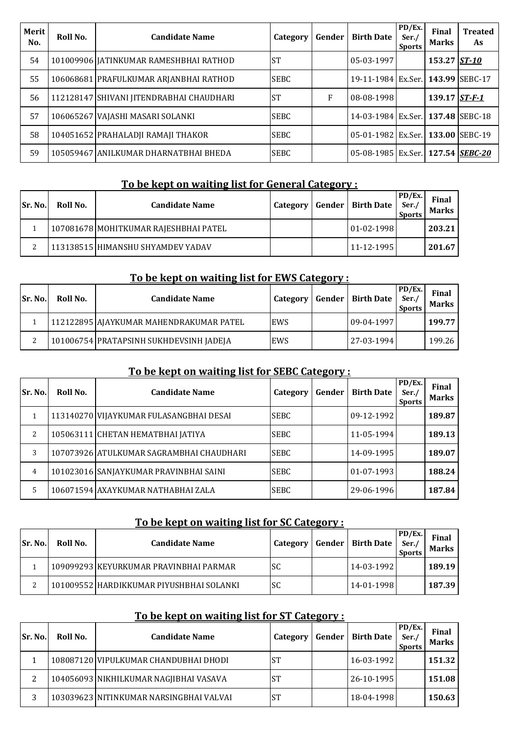| Merit<br>No. | Roll No. | <b>Candidate Name</b>                    | Category    | Gender | <b>Birth Date</b>                 | $\overline{P}D/Ex.$<br>Ser./<br><b>Sports</b> | <b>Final</b><br><b>Marks</b> | <b>Treated</b><br>As |
|--------------|----------|------------------------------------------|-------------|--------|-----------------------------------|-----------------------------------------------|------------------------------|----------------------|
| 54           |          | 101009906 JATINKUMAR RAMESHBHAI RATHOD   | <b>ST</b>   |        | $05-03-1997$                      |                                               | 153.27 ST-10                 |                      |
| 55           |          | 106068681 PRAFULKUMAR ARJANBHAI RATHOD   | <b>SEBC</b> |        | 19-11-1984 Ex.Ser. 143.99 SEBC-17 |                                               |                              |                      |
| 56           |          | 112128147 SHIVANI JITENDRABHAI CHAUDHARI | <b>ST</b>   | F      | $08-08-1998$                      |                                               | 139.17 $ST-F-1$              |                      |
| 57           |          | 106065267 VAJASHI MASARI SOLANKI         | <b>SEBC</b> |        | 14-03-1984 Ex.Ser. 137.48 SEBC-18 |                                               |                              |                      |
| 58           |          | 104051652 PRAHALADJI RAMAJI THAKOR       | <b>SEBC</b> |        | 05-01-1982 Ex.Ser. 133.00 SEBC-19 |                                               |                              |                      |
| 59           |          | 105059467 ANILKUMAR DHARNATBHAI BHEDA    | <b>SEBC</b> |        | 05-08-1985 Ex.Ser. 127.54 SEBC-20 |                                               |                              |                      |

# **To be kept on waiting list for General Category :**

| <b>Sr. No.</b> | Roll No. | <b>Candidate Name</b>                 | Category | <b>Gender   Birth Date</b> | PD/Ex.<br>Ser.<br><b>Sports</b> | Final<br><b>Marks</b> |
|----------------|----------|---------------------------------------|----------|----------------------------|---------------------------------|-----------------------|
|                |          | 107081678 MOHITKUMAR RAJESHBHAI PATEL |          | $01 - 02 - 1998$           |                                 | 203.21                |
|                |          | 113138515 HIMANSHU SHYAMDEV YADAV     |          | $11 - 12 - 1995$           |                                 | 201.67                |

### **To be kept on waiting list for EWS Category :**

| <b>Sr. No.</b> | Roll No. | <b>Candidate Name</b>                   | Category   | Gender | <b>Birth Date</b> | PD/Ex.<br>Ser.<br><b>Sports</b> | Final<br><b>Marks</b> |
|----------------|----------|-----------------------------------------|------------|--------|-------------------|---------------------------------|-----------------------|
|                |          | 112122895 AJAYKUMAR MAHENDRAKUMAR PATEL | <b>EWS</b> |        | 09-04-1997        |                                 | 199.77                |
| ∼              |          | 101006754 PRATAPSINH SUKHDEVSINH JADEJA | EWS        |        | 27-03-1994        |                                 | 199.26                |

# **To be kept on waiting list for SEBC Category :**

| Sr. No. | Roll No. | <b>Candidate Name</b>                    | Category    | Gender | <b>Birth Date</b> | PD/Ex.<br>Ser./<br><b>Sports</b> | <b>Final</b><br><b>Marks</b> |
|---------|----------|------------------------------------------|-------------|--------|-------------------|----------------------------------|------------------------------|
|         |          | 113140270 VIJAYKUMAR FULASANGBHAI DESAI  | <b>SEBC</b> |        | 09-12-1992        |                                  | 189.87                       |
| 2       |          | 105063111 CHETAN HEMATBHAI JATIYA        | <b>SEBC</b> |        | 11-05-1994        |                                  | 189.13                       |
| 3       |          | 107073926 ATULKUMAR SAGRAMBHAI CHAUDHARI | <b>SEBC</b> |        | 14-09-1995        |                                  | 189.07                       |
| 4       |          | 101023016 SANJAYKUMAR PRAVINBHAI SAINI   | <b>SEBC</b> |        | 01-07-1993        |                                  | 188.24                       |
| 5       |          | 106071594 AXAYKUMAR NATHABHAI ZALA       | <b>SEBC</b> |        | 29-06-1996        |                                  | 187.84                       |

## **To be kept on waiting list for SC Category :**

| <b>Sr. No.</b> | Roll No. | <b>Candidate Name</b>                    | Category  | <b>Gender   Birth Date</b> | PD/Ex. <br>Ser.<br><b>Sports</b> | Final<br><b>Marks</b> |
|----------------|----------|------------------------------------------|-----------|----------------------------|----------------------------------|-----------------------|
|                |          | 109099293 KEYURKUMAR PRAVINBHAI PARMAR   | <b>SC</b> | $14 - 03 - 1992$           |                                  | 189.19                |
| ∼              |          | 101009552 HARDIKKUMAR PIYUSHBHAI SOLANKI | <b>SC</b> | $14 - 01 - 1998$           |                                  | 187.39                |

# **To be kept on waiting list for ST Category :**

| <b>Sr. No.</b> | Roll No. | <b>Candidate Name</b>                   | Category  | Gender | <b>Birth Date</b> | PD/Ex.<br>Ser.<br><b>Sports</b> | Final<br><b>Marks</b> |
|----------------|----------|-----------------------------------------|-----------|--------|-------------------|---------------------------------|-----------------------|
|                |          | 108087120 VIPULKUMAR CHANDUBHAI DHODI   | ST        |        | 16-03-1992        |                                 | 151.32                |
| ▵              |          | 104056093 NIKHILKUMAR NAGJIBHAI VASAVA  | ST        |        | 26-10-1995        |                                 | 151.08                |
| 3              |          | 103039623 NITINKUMAR NARSINGBHAI VALVAI | <b>ST</b> |        | 18-04-1998        |                                 | 150.63                |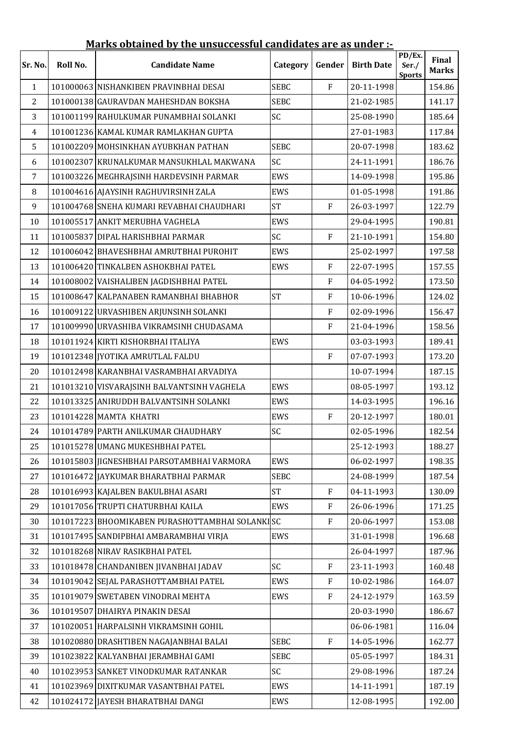|                |          | <u>mai is obtained by the unsuccessidi candidates are as under <math>\cdot</math></u> |             |                           |                   |                                  |                       |
|----------------|----------|---------------------------------------------------------------------------------------|-------------|---------------------------|-------------------|----------------------------------|-----------------------|
| Sr. No.        | Roll No. | <b>Candidate Name</b>                                                                 | Category    | Gender                    | <b>Birth Date</b> | PD/Ex.<br>Ser./<br><b>Sports</b> | Final<br><b>Marks</b> |
| $\mathbf{1}$   |          | 101000063 NISHANKIBEN PRAVINBHAI DESAI                                                | <b>SEBC</b> | ${\bf F}$                 | 20-11-1998        |                                  | 154.86                |
| $\overline{2}$ |          | 101000138 GAURAVDAN MAHESHDAN BOKSHA                                                  | <b>SEBC</b> |                           | 21-02-1985        |                                  | 141.17                |
| 3              |          | 101001199 RAHULKUMAR PUNAMBHAI SOLANKI                                                | SC          |                           | 25-08-1990        |                                  | 185.64                |
| 4              |          | 101001236 KAMAL KUMAR RAMLAKHAN GUPTA                                                 |             |                           | 27-01-1983        |                                  | 117.84                |
| 5              |          | 101002209 MOHSINKHAN AYUBKHAN PATHAN                                                  | <b>SEBC</b> |                           | 20-07-1998        |                                  | 183.62                |
| 6              |          | 101002307 KRUNALKUMAR MANSUKHLAL MAKWANA                                              | SC          |                           | 24-11-1991        |                                  | 186.76                |
| $\overline{7}$ |          | 101003226 MEGHRAJSINH HARDEVSINH PARMAR                                               | EWS         |                           | 14-09-1998        |                                  | 195.86                |
| 8              |          | 101004616 AJAYSINH RAGHUVIRSINH ZALA                                                  | EWS         |                           | 01-05-1998        |                                  | 191.86                |
| 9              |          | 101004768 SNEHA KUMARI REVABHAI CHAUDHARI                                             | <b>ST</b>   | ${\bf F}$                 | 26-03-1997        |                                  | 122.79                |
| 10             |          | 101005517 ANKIT MERUBHA VAGHELA                                                       | <b>EWS</b>  |                           | 29-04-1995        |                                  | 190.81                |
| 11             |          | 101005837 DIPAL HARISHBHAI PARMAR                                                     | SC          | $\mathbf F$               | 21-10-1991        |                                  | 154.80                |
| 12             |          | 101006042 BHAVESHBHAI AMRUTBHAI PUROHIT                                               | EWS         |                           | 25-02-1997        |                                  | 197.58                |
| 13             |          | 101006420 TINKALBEN ASHOKBHAI PATEL                                                   | EWS         | $\rm F$                   | 22-07-1995        |                                  | 157.55                |
| 14             |          | 101008002 VAISHALIBEN JAGDISHBHAI PATEL                                               |             | $\rm F$                   | 04-05-1992        |                                  | 173.50                |
| 15             |          | 101008647 KALPANABEN RAMANBHAI BHABHOR                                                | <b>ST</b>   | $\overline{F}$            | 10-06-1996        |                                  | 124.02                |
| 16             |          | 101009122 URVASHIBEN ARJUNSINH SOLANKI                                                |             | $\overline{F}$            | 02-09-1996        |                                  | 156.47                |
| 17             |          | 101009990 URVASHIBA VIKRAMSINH CHUDASAMA                                              |             | ${\bf F}$                 | 21-04-1996        |                                  | 158.56                |
| 18             |          | 101011924 KIRTI KISHORBHAI ITALIYA                                                    | EWS         |                           | 03-03-1993        |                                  | 189.41                |
| 19             |          | 101012348 JYOTIKA AMRUTLAL FALDU                                                      |             | ${\bf F}$                 | 07-07-1993        |                                  | 173.20                |
| 20             |          | 101012498 KARANBHAI VASRAMBHAI ARVADIYA                                               |             |                           | 10-07-1994        |                                  | 187.15                |
| 21             |          | 101013210 VISVARAJSINH BALVANTSINH VAGHELA                                            | <b>EWS</b>  |                           | 08-05-1997        |                                  | 193.12                |
| 22             |          | 101013325 ANIRUDDH BALVANTSINH SOLANKI                                                | EWS         |                           | 14-03-1995        |                                  | 196.16                |
| 23             |          | 101014228 MAMTA KHATRI                                                                | <b>EWS</b>  | $\rm F$                   | 20-12-1997        |                                  | 180.01                |
| 24             |          | 101014789 PARTH ANILKUMAR CHAUDHARY                                                   | SC          |                           | 02-05-1996        |                                  | 182.54                |
| 25             |          | 101015278 UMANG MUKESHBHAI PATEL                                                      |             |                           | 25-12-1993        |                                  | 188.27                |
| 26             |          | 101015803 JIGNESHBHAI PARSOTAMBHAI VARMORA                                            | EWS         |                           | 06-02-1997        |                                  | 198.35                |
| 27             |          | 101016472 JAYKUMAR BHARATBHAI PARMAR                                                  | <b>SEBC</b> |                           | 24-08-1999        |                                  | 187.54                |
| 28             |          | 101016993 KAJALBEN BAKULBHAI ASARI                                                    | <b>ST</b>   | $\mathbf{F}$              | 04-11-1993        |                                  | 130.09                |
| 29             |          | 101017056 TRUPTI CHATURBHAI KAILA                                                     | EWS         | $\boldsymbol{\mathrm{F}}$ | 26-06-1996        |                                  | 171.25                |
| 30             |          | 101017223 BHOOMIKABEN PURASHOTTAMBHAI SOLANKISC                                       |             | $\mathbf{F}$              | 20-06-1997        |                                  | 153.08                |
| 31             |          | 101017495 SANDIPBHAI AMBARAMBHAI VIRJA                                                | EWS         |                           | 31-01-1998        |                                  | 196.68                |
| 32             |          | 101018268 NIRAV RASIKBHAI PATEL                                                       |             |                           | 26-04-1997        |                                  | 187.96                |
| 33             |          | 101018478 CHANDANIBEN JIVANBHAI JADAV                                                 | SC          | $\mathbf{F}$              | 23-11-1993        |                                  | 160.48                |
| 34             |          | 101019042 SEJAL PARASHOTTAMBHAI PATEL                                                 | EWS         | ${\bf F}$                 | 10-02-1986        |                                  | 164.07                |
| 35             |          | 101019079 SWETABEN VINODRAI MEHTA                                                     | EWS         | $\mathbf{F}$              | 24-12-1979        |                                  | 163.59                |
| 36             |          | 101019507 DHAIRYA PINAKIN DESAI                                                       |             |                           | 20-03-1990        |                                  | 186.67                |
| 37             |          | 101020051 HARPALSINH VIKRAMSINH GOHIL                                                 |             |                           | 06-06-1981        |                                  | 116.04                |
| 38             |          | 101020880 DRASHTIBEN NAGAJANBHAI BALAI                                                | <b>SEBC</b> | $\boldsymbol{\mathrm{F}}$ | 14-05-1996        |                                  | 162.77                |
| 39             |          | 101023822 KALYANBHAI JERAMBHAI GAMI                                                   | <b>SEBC</b> |                           | 05-05-1997        |                                  | 184.31                |
| 40             |          | 101023953 SANKET VINODKUMAR RATANKAR                                                  | SC          |                           | 29-08-1996        |                                  | 187.24                |
| 41             |          | 101023969 DIXITKUMAR VASANTBHAI PATEL                                                 | EWS         |                           | 14-11-1991        |                                  | 187.19                |
| 42             |          | 101024172 JAYESH BHARATBHAI DANGI                                                     | EWS         |                           | 12-08-1995        |                                  | 192.00                |

#### **Marks obtained by the unsuccessful candidates are as under :-**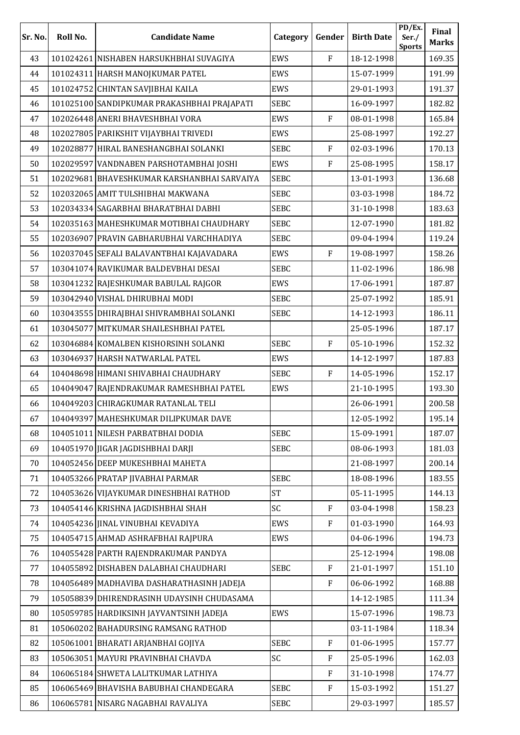| Sr. No. | Roll No. | <b>Candidate Name</b>                       | Category    | Gender         | <b>Birth Date</b> | PD/Ex.<br>Ser./<br><b>Sports</b> | Final<br><b>Marks</b> |
|---------|----------|---------------------------------------------|-------------|----------------|-------------------|----------------------------------|-----------------------|
| 43      |          | 101024261 NISHABEN HARSUKHBHAI SUVAGIYA     | EWS         | $\overline{F}$ | 18-12-1998        |                                  | 169.35                |
| 44      |          | 101024311 HARSH MANOJKUMAR PATEL            | EWS         |                | 15-07-1999        |                                  | 191.99                |
| 45      |          | 101024752 CHINTAN SAVJIBHAI KAILA           | EWS         |                | 29-01-1993        |                                  | 191.37                |
| 46      |          | 101025100 SANDIPKUMAR PRAKASHBHAI PRAJAPATI | <b>SEBC</b> |                | 16-09-1997        |                                  | 182.82                |
| 47      |          | 102026448 ANERI BHAVESHBHAI VORA            | EWS         | $\mathbf{F}$   | 08-01-1998        |                                  | 165.84                |
| 48      |          | 102027805 PARIKSHIT VIJAYBHAI TRIVEDI       | EWS         |                | 25-08-1997        |                                  | 192.27                |
| 49      |          | 102028877 HIRAL BANESHANGBHAI SOLANKI       | <b>SEBC</b> | ${\bf F}$      | 02-03-1996        |                                  | 170.13                |
| 50      |          | 102029597 VANDNABEN PARSHOTAMBHAI JOSHI     | EWS         | $\overline{F}$ | 25-08-1995        |                                  | 158.17                |
| 51      |          | 102029681 BHAVESHKUMAR KARSHANBHAI SARVAIYA | <b>SEBC</b> |                | 13-01-1993        |                                  | 136.68                |
| 52      |          | 102032065 AMIT TULSHIBHAI MAKWANA           | <b>SEBC</b> |                | 03-03-1998        |                                  | 184.72                |
| 53      |          | 102034334 SAGARBHAI BHARATBHAI DABHI        | <b>SEBC</b> |                | 31-10-1998        |                                  | 183.63                |
| 54      |          | 102035163 MAHESHKUMAR MOTIBHAI CHAUDHARY    | <b>SEBC</b> |                | 12-07-1990        |                                  | 181.82                |
| 55      |          | 102036907 PRAVIN GABHARUBHAI VARCHHADIYA    | <b>SEBC</b> |                | 09-04-1994        |                                  | 119.24                |
| 56      |          | 102037045 SEFALI BALAVANTBHAI KAJAVADARA    | EWS         | $\mathbf{F}$   | 19-08-1997        |                                  | 158.26                |
| 57      |          | 103041074 RAVIKUMAR BALDEVBHAI DESAI        | <b>SEBC</b> |                | 11-02-1996        |                                  | 186.98                |
| 58      |          | 103041232 RAJESHKUMAR BABULAL RAJGOR        | EWS         |                | 17-06-1991        |                                  | 187.87                |
| 59      |          | 103042940 VISHAL DHIRUBHAI MODI             | <b>SEBC</b> |                | 25-07-1992        |                                  | 185.91                |
| 60      |          | 103043555 DHIRAJBHAI SHIVRAMBHAI SOLANKI    | <b>SEBC</b> |                | 14-12-1993        |                                  | 186.11                |
| 61      |          | 103045077 MITKUMAR SHAILESHBHAI PATEL       |             |                | 25-05-1996        |                                  | 187.17                |
| 62      |          | 103046884 KOMALBEN KISHORSINH SOLANKI       | <b>SEBC</b> | ${\bf F}$      | 05-10-1996        |                                  | 152.32                |
| 63      |          | 103046937 HARSH NATWARLAL PATEL             | EWS         |                | 14-12-1997        |                                  | 187.83                |
| 64      |          | 104048698 HIMANI SHIVABHAI CHAUDHARY        | <b>SEBC</b> | ${\bf F}$      | 14-05-1996        |                                  | 152.17                |
| 65      |          | 104049047 RAJENDRAKUMAR RAMESHBHAI PATEL    | EWS         |                | 21-10-1995        |                                  | 193.30                |
| 66      |          | 104049203 CHIRAGKUMAR RATANLAL TELI         |             |                | 26-06-1991        |                                  | 200.58                |
| 67      |          | 104049397 MAHESHKUMAR DILIPKUMAR DAVE       |             |                | 12-05-1992        |                                  | 195.14                |
| 68      |          | 104051011 NILESH PARBATBHAI DODIA           | <b>SEBC</b> |                | 15-09-1991        |                                  | 187.07                |
| 69      |          | 104051970 JIGAR JAGDISHBHAI DARJI           | <b>SEBC</b> |                | 08-06-1993        |                                  | 181.03                |
| 70      |          | 104052456 DEEP MUKESHBHAI MAHETA            |             |                | 21-08-1997        |                                  | 200.14                |
| 71      |          | 104053266 PRATAP JIVABHAI PARMAR            | <b>SEBC</b> |                | 18-08-1996        |                                  | 183.55                |
| 72      |          | 104053626 VIJAYKUMAR DINESHBHAI RATHOD      | <b>ST</b>   |                | 05-11-1995        |                                  | 144.13                |
| 73      |          | 104054146 KRISHNA JAGDISHBHAI SHAH          | SC          | $\mathbf{F}$   | 03-04-1998        |                                  | 158.23                |
| 74      |          | 104054236 JINAL VINUBHAI KEVADIYA           | EWS         | ${\bf F}$      | 01-03-1990        |                                  | 164.93                |
| 75      |          | 104054715 AHMAD ASHRAFBHAI RAJPURA          | EWS         |                | 04-06-1996        |                                  | 194.73                |
| 76      |          | 104055428 PARTH RAJENDRAKUMAR PANDYA        |             |                | 25-12-1994        |                                  | 198.08                |
| 77      |          | 104055892 DISHABEN DALABHAI CHAUDHARI       | <b>SEBC</b> | ${\bf F}$      | 21-01-1997        |                                  | 151.10                |
| 78      |          | 104056489 MADHAVIBA DASHARATHASINH JADEJA   |             | $\mathbf{F}$   | 06-06-1992        |                                  | 168.88                |
| 79      |          | 105058839 DHIRENDRASINH UDAYSINH CHUDASAMA  |             |                | 14-12-1985        |                                  | 111.34                |
| 80      |          | 105059785 HARDIKSINH JAYVANTSINH JADEJA     | EWS         |                | 15-07-1996        |                                  | 198.73                |
| 81      |          | 105060202 BAHADURSING RAMSANG RATHOD        |             |                | 03-11-1984        |                                  | 118.34                |
| 82      |          | 105061001 BHARATI ARJANBHAI GOJIYA          | <b>SEBC</b> | $\overline{F}$ | 01-06-1995        |                                  | 157.77                |
| 83      |          | 105063051 MAYURI PRAVINBHAI CHAVDA          | SC          | ${\bf F}$      | 25-05-1996        |                                  | 162.03                |
| 84      |          | 106065184 SHWETA LALITKUMAR LATHIYA         |             | $\mathbf{F}$   | 31-10-1998        |                                  | 174.77                |
| 85      |          | 106065469 BHAVISHA BABUBHAI CHANDEGARA      | <b>SEBC</b> | $\mathbf{F}$   | 15-03-1992        |                                  | 151.27                |
| 86      |          | 106065781 NISARG NAGABHAI RAVALIYA          | <b>SEBC</b> |                | 29-03-1997        |                                  | 185.57                |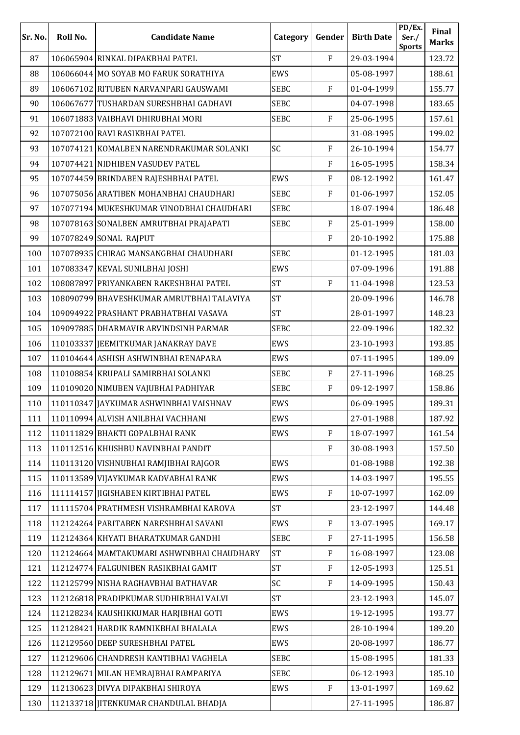| Sr. No. | Roll No. | <b>Candidate Name</b>                      | Category    | Gender                    | <b>Birth Date</b> | PD/Ex.<br>Ser./<br><b>Sports</b> | Final<br><b>Marks</b> |
|---------|----------|--------------------------------------------|-------------|---------------------------|-------------------|----------------------------------|-----------------------|
| 87      |          | 106065904 RINKAL DIPAKBHAI PATEL           | <b>ST</b>   | $\overline{F}$            | 29-03-1994        |                                  | 123.72                |
| 88      |          | 106066044 MO SOYAB MO FARUK SORATHIYA      | EWS         |                           | 05-08-1997        |                                  | 188.61                |
| 89      |          | 106067102 RITUBEN NARVANPARI GAUSWAMI      | <b>SEBC</b> | $\overline{F}$            | 01-04-1999        |                                  | 155.77                |
| 90      |          | 106067677 TUSHARDAN SURESHBHAI GADHAVI     | <b>SEBC</b> |                           | 04-07-1998        |                                  | 183.65                |
| 91      |          | 106071883 VAIBHAVI DHIRUBHAI MORI          | <b>SEBC</b> | $\overline{F}$            | 25-06-1995        |                                  | 157.61                |
| 92      |          | 107072100 RAVI RASIKBHAI PATEL             |             |                           | 31-08-1995        |                                  | 199.02                |
| 93      |          | 107074121 KOMALBEN NARENDRAKUMAR SOLANKI   | SC          | ${\bf F}$                 | 26-10-1994        |                                  | 154.77                |
| 94      |          | 107074421 NIDHIBEN VASUDEV PATEL           |             | $\mathbf{F}$              | 16-05-1995        |                                  | 158.34                |
| 95      |          | 107074459 BRINDABEN RAJESHBHAI PATEL       | EWS         | $\mathbf{F}$              | 08-12-1992        |                                  | 161.47                |
| 96      |          | 107075056 ARATIBEN MOHANBHAI CHAUDHARI     | <b>SEBC</b> | $\overline{F}$            | 01-06-1997        |                                  | 152.05                |
| 97      |          | 107077194 MUKESHKUMAR VINODBHAI CHAUDHARI  | <b>SEBC</b> |                           | 18-07-1994        |                                  | 186.48                |
| 98      |          | 107078163 SONALBEN AMRUTBHAI PRAJAPATI     | <b>SEBC</b> | $\overline{F}$            | 25-01-1999        |                                  | 158.00                |
| 99      |          | 107078249 SONAL RAJPUT                     |             | ${\bf F}$                 | 20-10-1992        |                                  | 175.88                |
| 100     |          | 107078935 CHIRAG MANSANGBHAI CHAUDHARI     | <b>SEBC</b> |                           | 01-12-1995        |                                  | 181.03                |
| 101     |          | 107083347 KEVAL SUNILBHAI JOSHI            | <b>EWS</b>  |                           | 07-09-1996        |                                  | 191.88                |
| 102     |          | 108087897 PRIYANKABEN RAKESHBHAI PATEL     | <b>ST</b>   | $\overline{F}$            | 11-04-1998        |                                  | 123.53                |
| 103     |          | 108090799 BHAVESHKUMAR AMRUTBHAI TALAVIYA  | <b>ST</b>   |                           | 20-09-1996        |                                  | 146.78                |
| 104     |          | 109094922 PRASHANT PRABHATBHAI VASAVA      | <b>ST</b>   |                           | 28-01-1997        |                                  | 148.23                |
| 105     |          | 109097885 DHARMAVIR ARVINDSINH PARMAR      | <b>SEBC</b> |                           | 22-09-1996        |                                  | 182.32                |
| 106     |          | 110103337 JEEMITKUMAR JANAKRAY DAVE        | EWS         |                           | 23-10-1993        |                                  | 193.85                |
| 107     |          | 110104644 ASHISH ASHWINBHAI RENAPARA       | EWS         |                           | 07-11-1995        |                                  | 189.09                |
| 108     |          | 110108854 KRUPALI SAMIRBHAI SOLANKI        | <b>SEBC</b> | F                         | 27-11-1996        |                                  | 168.25                |
| 109     |          | 110109020 NIMUBEN VAJUBHAI PADHIYAR        | <b>SEBC</b> | $\overline{F}$            | 09-12-1997        |                                  | 158.86                |
| 110     |          | 110110347 JAYKUMAR ASHWINBHAI VAISHNAV     | EWS         |                           | 06-09-1995        |                                  | 189.31                |
| 111     |          | 110110994 ALVISH ANILBHAI VACHHANI         | EWS         |                           | 27-01-1988        |                                  | 187.92                |
| 112     |          | 110111829 BHAKTI GOPALBHAI RANK            | EWS         | $\overline{F}$            | 18-07-1997        |                                  | 161.54                |
| 113     |          | 110112516 KHUSHBU NAVINBHAI PANDIT         |             | $\boldsymbol{\mathrm{F}}$ | 30-08-1993        |                                  | 157.50                |
| 114     |          | 110113120 VISHNUBHAI RAMJIBHAI RAJGOR      | EWS         |                           | 01-08-1988        |                                  | 192.38                |
| 115     |          | 110113589 VIJAYKUMAR KADVABHAI RANK        | EWS         |                           | 14-03-1997        |                                  | 195.55                |
| 116     |          | 111114157 JIGISHABEN KIRTIBHAI PATEL       | EWS         | ${\bf F}$                 | 10-07-1997        |                                  | 162.09                |
| 117     |          | 111115704 PRATHMESH VISHRAMBHAI KAROVA     | <b>ST</b>   |                           | 23-12-1997        |                                  | 144.48                |
| 118     |          | 112124264 PARITABEN NARESHBHAI SAVANI      | EWS         | ${\bf F}$                 | 13-07-1995        |                                  | 169.17                |
| 119     |          | 112124364 KHYATI BHARATKUMAR GANDHI        | <b>SEBC</b> | ${\bf F}$                 | 27-11-1995        |                                  | 156.58                |
| 120     |          | 112124664 MAMTAKUMARI ASHWINBHAI CHAUDHARY | <b>ST</b>   | $\boldsymbol{\mathrm{F}}$ | 16-08-1997        |                                  | 123.08                |
| 121     |          | 112124774 FALGUNIBEN RASIKBHAI GAMIT       | <b>ST</b>   | $\mathbf{F}$              | 12-05-1993        |                                  | 125.51                |
| 122     |          | 112125799 NISHA RAGHAVBHAI BATHAVAR        | SC          | $\mathbf{F}$              | 14-09-1995        |                                  | 150.43                |
| 123     |          | 112126818 PRADIPKUMAR SUDHIRBHAI VALVI     | <b>ST</b>   |                           | 23-12-1993        |                                  | 145.07                |
| 124     |          | 112128234 KAUSHIKKUMAR HARJIBHAI GOTI      | EWS         |                           | 19-12-1995        |                                  | 193.77                |
| 125     |          | 112128421 HARDIK RAMNIKBHAI BHALALA        | EWS         |                           | 28-10-1994        |                                  | 189.20                |
| 126     |          | 112129560 DEEP SURESHBHAI PATEL            | EWS         |                           | 20-08-1997        |                                  | 186.77                |
| 127     |          | 112129606 CHANDRESH KANTIBHAI VAGHELA      | <b>SEBC</b> |                           | 15-08-1995        |                                  | 181.33                |
| 128     |          | 112129671 MILAN HEMRAJBHAI RAMPARIYA       | <b>SEBC</b> |                           | 06-12-1993        |                                  | 185.10                |
| 129     |          | 112130623 DIVYA DIPAKBHAI SHIROYA          | EWS         | ${\bf F}$                 | 13-01-1997        |                                  | 169.62                |
| 130     |          | 112133718 JITENKUMAR CHANDULAL BHADJA      |             |                           | 27-11-1995        |                                  | 186.87                |